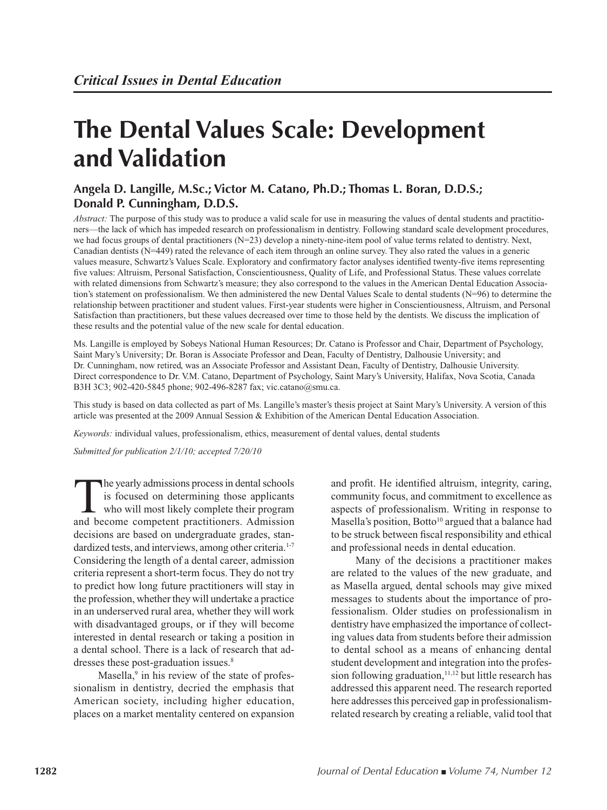# **The Dental Values Scale: Development and Validation**

### **Angela D. Langille, M.Sc.; Victor M. Catano, Ph.D.; Thomas L. Boran, D.D.S.; Donald P. Cunningham, D.D.S.**

*Abstract:* The purpose of this study was to produce a valid scale for use in measuring the values of dental students and practitioners—the lack of which has impeded research on professionalism in dentistry. Following standard scale development procedures, we had focus groups of dental practitioners (N=23) develop a ninety-nine-item pool of value terms related to dentistry. Next, Canadian dentists (N=449) rated the relevance of each item through an online survey. They also rated the values in a generic values measure, Schwartz's Values Scale. Exploratory and confirmatory factor analyses identified twenty-five items representing five values: Altruism, Personal Satisfaction, Conscientiousness, Quality of Life, and Professional Status. These values correlate with related dimensions from Schwartz's measure; they also correspond to the values in the American Dental Education Association's statement on professionalism. We then administered the new Dental Values Scale to dental students (N=96) to determine the relationship between practitioner and student values. First-year students were higher in Conscientiousness, Altruism, and Personal Satisfaction than practitioners, but these values decreased over time to those held by the dentists. We discuss the implication of these results and the potential value of the new scale for dental education.

Ms. Langille is employed by Sobeys National Human Resources; Dr. Catano is Professor and Chair, Department of Psychology, Saint Mary's University; Dr. Boran is Associate Professor and Dean, Faculty of Dentistry, Dalhousie University; and Dr. Cunningham, now retired, was an Associate Professor and Assistant Dean, Faculty of Dentistry, Dalhousie University. Direct correspondence to Dr. V.M. Catano, Department of Psychology, Saint Mary's University, Halifax, Nova Scotia, Canada B3H 3C3; 902-420-5845 phone; 902-496-8287 fax; vic.catano@smu.ca.

This study is based on data collected as part of Ms. Langille's master's thesis project at Saint Mary's University. A version of this article was presented at the 2009 Annual Session & Exhibition of the American Dental Education Association.

*Keywords:* individual values, professionalism, ethics, measurement of dental values, dental students

*Submitted for publication 2/1/10; accepted 7/20/10*

The yearly admissions process in dental schools is focused on determining those applicants who will most likely complete their program and become competent practitioners. Admission decisions are based on undergraduate grades, standardized tests, and interviews, among other criteria.<sup>1-7</sup> Considering the length of a dental career, admission criteria represent a short-term focus. They do not try to predict how long future practitioners will stay in the profession, whether they will undertake a practice in an underserved rural area, whether they will work with disadvantaged groups, or if they will become interested in dental research or taking a position in a dental school. There is a lack of research that addresses these post-graduation issues.<sup>8</sup>

Masella,<sup>9</sup> in his review of the state of professionalism in dentistry, decried the emphasis that American society, including higher education, places on a market mentality centered on expansion

and profit. He identified altruism, integrity, caring, community focus, and commitment to excellence as aspects of professionalism. Writing in response to Masella's position, Botto<sup>10</sup> argued that a balance had to be struck between fiscal responsibility and ethical and professional needs in dental education.

Many of the decisions a practitioner makes are related to the values of the new graduate, and as Masella argued, dental schools may give mixed messages to students about the importance of professionalism. Older studies on professionalism in dentistry have emphasized the importance of collecting values data from students before their admission to dental school as a means of enhancing dental student development and integration into the profession following graduation, $11,12$  but little research has addressed this apparent need. The research reported here addresses this perceived gap in professionalismrelated research by creating a reliable, valid tool that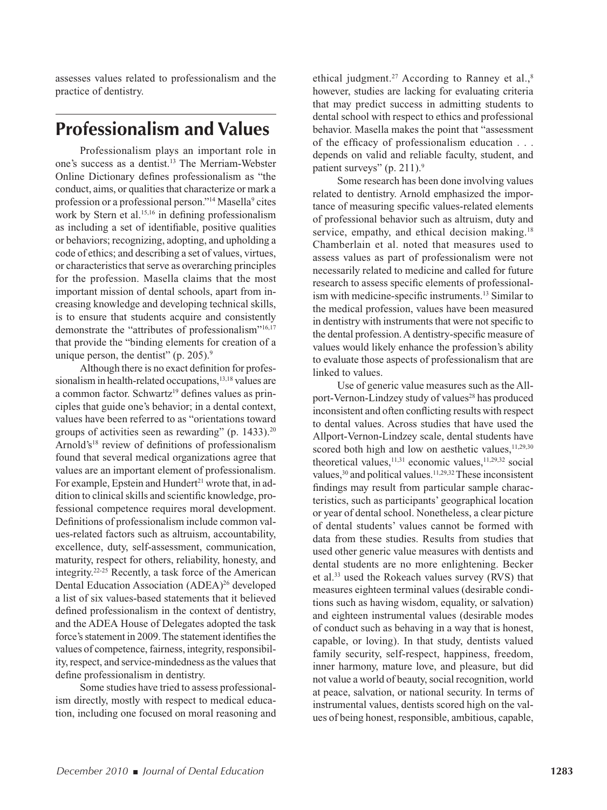assesses values related to professionalism and the practice of dentistry.

# **Professionalism and Values**

Professionalism plays an important role in one's success as a dentist.13 The Merriam-Webster Online Dictionary defines professionalism as "the conduct, aims, or qualities that characterize or mark a profession or a professional person."<sup>14</sup> Masella<sup>9</sup> cites work by Stern et al. $15,16}$  in defining professionalism as including a set of identifiable, positive qualities or behaviors; recognizing, adopting, and upholding a code of ethics; and describing a set of values, virtues, or characteristics that serve as overarching principles for the profession. Masella claims that the most important mission of dental schools, apart from increasing knowledge and developing technical skills, is to ensure that students acquire and consistently demonstrate the "attributes of professionalism"<sup>16,17</sup> that provide the "binding elements for creation of a unique person, the dentist"  $(p. 205)$ .<sup>9</sup>

Although there is no exact definition for professionalism in health-related occupations,<sup>13,18</sup> values are a common factor. Schwartz<sup>19</sup> defines values as principles that guide one's behavior; in a dental context, values have been referred to as "orientations toward groups of activities seen as rewarding" (p.  $1433$ ).<sup>20</sup> Arnold's<sup>18</sup> review of definitions of professionalism found that several medical organizations agree that values are an important element of professionalism. For example, Epstein and Hundert<sup>21</sup> wrote that, in addition to clinical skills and scientific knowledge, professional competence requires moral development. Definitions of professionalism include common values-related factors such as altruism, accountability, excellence, duty, self-assessment, communication, maturity, respect for others, reliability, honesty, and integrity.22-25 Recently, a task force of the American Dental Education Association (ADEA)<sup>26</sup> developed a list of six values-based statements that it believed defined professionalism in the context of dentistry, and the ADEA House of Delegates adopted the task force's statement in 2009. The statement identifies the values of competence, fairness, integrity, responsibility, respect, and service-mindedness as the values that define professionalism in dentistry.

Some studies have tried to assess professionalism directly, mostly with respect to medical education, including one focused on moral reasoning and

ethical judgment.<sup>27</sup> According to Ranney et al., $8$ however, studies are lacking for evaluating criteria that may predict success in admitting students to dental school with respect to ethics and professional behavior. Masella makes the point that "assessment of the efficacy of professionalism education . . . depends on valid and reliable faculty, student, and patient surveys" (p. 211).<sup>9</sup>

Some research has been done involving values related to dentistry. Arnold emphasized the importance of measuring specific values-related elements of professional behavior such as altruism, duty and service, empathy, and ethical decision making.<sup>18</sup> Chamberlain et al. noted that measures used to assess values as part of professionalism were not necessarily related to medicine and called for future research to assess specific elements of professionalism with medicine-specific instruments.<sup>13</sup> Similar to the medical profession, values have been measured in dentistry with instruments that were not specific to the dental profession. A dentistry-specific measure of values would likely enhance the profession's ability to evaluate those aspects of professionalism that are linked to values.

Use of generic value measures such as the Allport-Vernon-Lindzey study of values<sup>28</sup> has produced inconsistent and often conflicting results with respect to dental values. Across studies that have used the Allport-Vernon-Lindzey scale, dental students have scored both high and low on aesthetic values, $11,29,30$ theoretical values, $11,31$  economic values, $11,29,32$  social values,<sup>30</sup> and political values.<sup>11,29,32</sup> These inconsistent findings may result from particular sample characteristics, such as participants' geographical location or year of dental school. Nonetheless, a clear picture of dental students' values cannot be formed with data from these studies. Results from studies that used other generic value measures with dentists and dental students are no more enlightening. Becker et al.33 used the Rokeach values survey (RVS) that measures eighteen terminal values (desirable conditions such as having wisdom, equality, or salvation) and eighteen instrumental values (desirable modes of conduct such as behaving in a way that is honest, capable, or loving). In that study, dentists valued family security, self-respect, happiness, freedom, inner harmony, mature love, and pleasure, but did not value a world of beauty, social recognition, world at peace, salvation, or national security. In terms of instrumental values, dentists scored high on the values of being honest, responsible, ambitious, capable,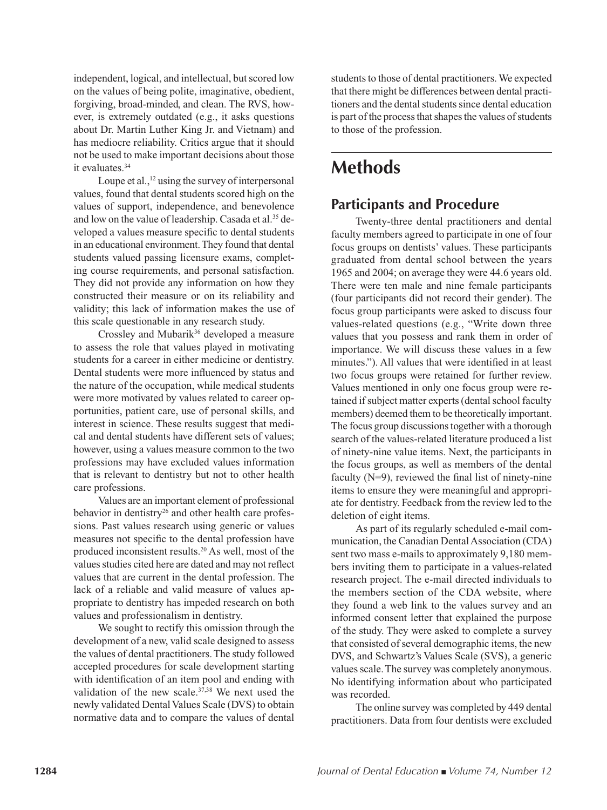independent, logical, and intellectual, but scored low on the values of being polite, imaginative, obedient, forgiving, broad-minded, and clean. The RVS, however, is extremely outdated (e.g., it asks questions about Dr. Martin Luther King Jr. and Vietnam) and has mediocre reliability. Critics argue that it should not be used to make important decisions about those it evaluates.34

Loupe et al., $12$  using the survey of interpersonal values, found that dental students scored high on the values of support, independence, and benevolence and low on the value of leadership. Casada et al.<sup>35</sup> developed a values measure specific to dental students in an educational environment. They found that dental students valued passing licensure exams, completing course requirements, and personal satisfaction. They did not provide any information on how they constructed their measure or on its reliability and validity; this lack of information makes the use of this scale questionable in any research study.

Crossley and Mubarik<sup>36</sup> developed a measure to assess the role that values played in motivating students for a career in either medicine or dentistry. Dental students were more influenced by status and the nature of the occupation, while medical students were more motivated by values related to career opportunities, patient care, use of personal skills, and interest in science. These results suggest that medical and dental students have different sets of values; however, using a values measure common to the two professions may have excluded values information that is relevant to dentistry but not to other health care professions.

Values are an important element of professional behavior in dentistry<sup>26</sup> and other health care professions. Past values research using generic or values measures not specific to the dental profession have produced inconsistent results.20 As well, most of the values studies cited here are dated and may not reflect values that are current in the dental profession. The lack of a reliable and valid measure of values appropriate to dentistry has impeded research on both values and professionalism in dentistry.

We sought to rectify this omission through the development of a new, valid scale designed to assess the values of dental practitioners. The study followed accepted procedures for scale development starting with identification of an item pool and ending with validation of the new scale.<sup>37,38</sup> We next used the newly validated Dental Values Scale (DVS) to obtain normative data and to compare the values of dental

students to those of dental practitioners. We expected that there might be differences between dental practitioners and the dental students since dental education is part of the process that shapes the values of students to those of the profession.

# **Methods**

## **Participants and Procedure**

Twenty-three dental practitioners and dental faculty members agreed to participate in one of four focus groups on dentists' values. These participants graduated from dental school between the years 1965 and 2004; on average they were 44.6 years old. There were ten male and nine female participants (four participants did not record their gender). The focus group participants were asked to discuss four values-related questions (e.g., "Write down three values that you possess and rank them in order of importance. We will discuss these values in a few minutes."). All values that were identified in at least two focus groups were retained for further review. Values mentioned in only one focus group were retained if subject matter experts (dental school faculty members) deemed them to be theoretically important. The focus group discussions together with a thorough search of the values-related literature produced a list of ninety-nine value items. Next, the participants in the focus groups, as well as members of the dental faculty (N=9), reviewed the final list of ninety-nine items to ensure they were meaningful and appropriate for dentistry. Feedback from the review led to the deletion of eight items.

As part of its regularly scheduled e-mail communication, the Canadian Dental Association (CDA) sent two mass e-mails to approximately 9,180 members inviting them to participate in a values-related research project. The e-mail directed individuals to the members section of the CDA website, where they found a web link to the values survey and an informed consent letter that explained the purpose of the study. They were asked to complete a survey that consisted of several demographic items, the new DVS, and Schwartz's Values Scale (SVS), a generic values scale. The survey was completely anonymous. No identifying information about who participated was recorded.

The online survey was completed by 449 dental practitioners. Data from four dentists were excluded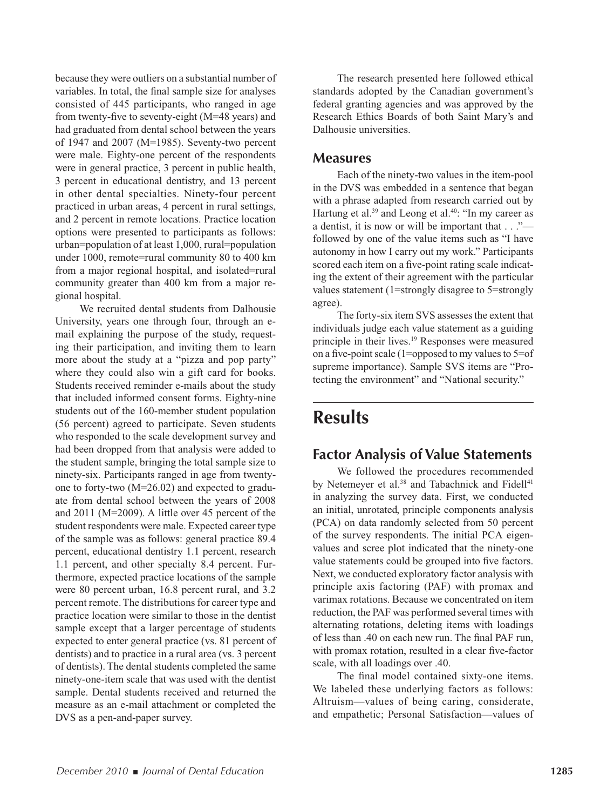because they were outliers on a substantial number of variables. In total, the final sample size for analyses consisted of 445 participants, who ranged in age from twenty-five to seventy-eight (M=48 years) and had graduated from dental school between the years of 1947 and 2007 (M=1985). Seventy-two percent were male. Eighty-one percent of the respondents were in general practice, 3 percent in public health, 3 percent in educational dentistry, and 13 percent in other dental specialties. Ninety-four percent practiced in urban areas, 4 percent in rural settings, and 2 percent in remote locations. Practice location options were presented to participants as follows: urban=population of at least 1,000, rural=population under 1000, remote=rural community 80 to 400 km from a major regional hospital, and isolated=rural community greater than 400 km from a major regional hospital.

We recruited dental students from Dalhousie University, years one through four, through an email explaining the purpose of the study, requesting their participation, and inviting them to learn more about the study at a "pizza and pop party" where they could also win a gift card for books. Students received reminder e-mails about the study that included informed consent forms. Eighty-nine students out of the 160-member student population (56 percent) agreed to participate. Seven students who responded to the scale development survey and had been dropped from that analysis were added to the student sample, bringing the total sample size to ninety-six. Participants ranged in age from twentyone to forty-two (M=26.02) and expected to graduate from dental school between the years of 2008 and 2011 (M=2009). A little over 45 percent of the student respondents were male. Expected career type of the sample was as follows: general practice 89.4 percent, educational dentistry 1.1 percent, research 1.1 percent, and other specialty 8.4 percent. Furthermore, expected practice locations of the sample were 80 percent urban, 16.8 percent rural, and 3.2 percent remote. The distributions for career type and practice location were similar to those in the dentist sample except that a larger percentage of students expected to enter general practice (vs. 81 percent of dentists) and to practice in a rural area (vs. 3 percent of dentists). The dental students completed the same ninety-one-item scale that was used with the dentist sample. Dental students received and returned the measure as an e-mail attachment or completed the DVS as a pen-and-paper survey.

The research presented here followed ethical standards adopted by the Canadian government's federal granting agencies and was approved by the Research Ethics Boards of both Saint Mary's and Dalhousie universities.

### **Measures**

Each of the ninety-two values in the item-pool in the DVS was embedded in a sentence that began with a phrase adapted from research carried out by Hartung et al.<sup>39</sup> and Leong et al.<sup>40</sup>: "In my career as a dentist, it is now or will be important that  $\dots$ . followed by one of the value items such as "I have autonomy in how I carry out my work." Participants scored each item on a five-point rating scale indicating the extent of their agreement with the particular values statement (1=strongly disagree to 5=strongly agree).

The forty-six item SVS assesses the extent that individuals judge each value statement as a guiding principle in their lives.19 Responses were measured on a five-point scale (1=opposed to my values to 5=of supreme importance). Sample SVS items are "Protecting the environment" and "National security."

## **Results**

### **Factor Analysis of Value Statements**

We followed the procedures recommended by Netemeyer et al.<sup>38</sup> and Tabachnick and Fidell<sup>41</sup> in analyzing the survey data. First, we conducted an initial, unrotated, principle components analysis (PCA) on data randomly selected from 50 percent of the survey respondents. The initial PCA eigenvalues and scree plot indicated that the ninety-one value statements could be grouped into five factors. Next, we conducted exploratory factor analysis with principle axis factoring (PAF) with promax and varimax rotations. Because we concentrated on item reduction, the PAF was performed several times with alternating rotations, deleting items with loadings of less than .40 on each new run. The final PAF run, with promax rotation, resulted in a clear five-factor scale, with all loadings over .40.

The final model contained sixty-one items. We labeled these underlying factors as follows: Altruism—values of being caring, considerate, and empathetic; Personal Satisfaction—values of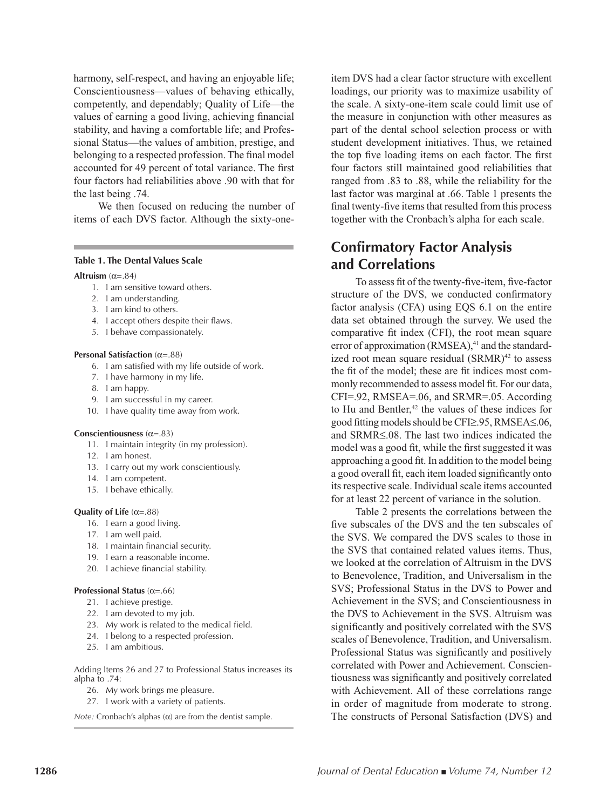harmony, self-respect, and having an enjoyable life; Conscientiousness—values of behaving ethically, competently, and dependably; Quality of Life—the values of earning a good living, achieving financial stability, and having a comfortable life; and Professional Status—the values of ambition, prestige, and belonging to a respected profession. The final model accounted for 49 percent of total variance. The first four factors had reliabilities above .90 with that for the last being .74.

We then focused on reducing the number of items of each DVS factor. Although the sixty-one-

### **Table 1. The Dental Values Scale**

### **Altruism** ( $\alpha = .84$ )

- 1. I am sensitive toward others.
- 2. I am understanding.
- 3. I am kind to others.
- 4. I accept others despite their flaws.
- 5. I behave compassionately.

#### **Personal Satisfaction** (α=.88)

- 6. I am satisfied with my life outside of work.
- 7. I have harmony in my life.
- 8. I am happy.
- 9. I am successful in my career.
- 10. I have quality time away from work.

#### **Conscientiousness** (α=.83)

- 11. I maintain integrity (in my profession).
- 12. I am honest.
- 13. I carry out my work conscientiously.
- 14. I am competent.
- 15. I behave ethically.

#### **Quality of Life** (α=.88)

- 16. I earn a good living.
- 17. I am well paid.
- 18. I maintain financial security.
- 19. I earn a reasonable income.
- 20. I achieve financial stability.

#### **Professional Status** (α=.66)

- 21. I achieve prestige.
- 22. I am devoted to my job.
- 23. My work is related to the medical field.
- 24. I belong to a respected profession.
- 25. I am ambitious.

Adding Items 26 and 27 to Professional Status increases its alpha to .74:

- 26. My work brings me pleasure.
- 27. I work with a variety of patients.

*Note:* Cronbach's alphas (α) are from the dentist sample.

item DVS had a clear factor structure with excellent loadings, our priority was to maximize usability of the scale. A sixty-one-item scale could limit use of the measure in conjunction with other measures as part of the dental school selection process or with student development initiatives. Thus, we retained the top five loading items on each factor. The first four factors still maintained good reliabilities that ranged from .83 to .88, while the reliability for the last factor was marginal at .66. Table 1 presents the final twenty-five items that resulted from this process together with the Cronbach's alpha for each scale.

### **Confirmatory Factor Analysis and Correlations**

To assess fit of the twenty-five-item, five-factor structure of the DVS, we conducted confirmatory factor analysis (CFA) using EQS 6.1 on the entire data set obtained through the survey. We used the comparative fit index (CFI), the root mean square error of approximation  $(RMSEA)$ ,<sup>41</sup> and the standardized root mean square residual  $(SRMR)^{42}$  to assess the fit of the model; these are fit indices most commonly recommended to assess model fit. For our data, CFI=.92, RMSEA=.06, and SRMR=.05. According to Hu and Bentler,<sup>42</sup> the values of these indices for good fitting models should be CFI≥.95, RMSEA≤.06, and SRMR≤.08. The last two indices indicated the model was a good fit, while the first suggested it was approaching a good fit. In addition to the model being a good overall fit, each item loaded significantly onto its respective scale. Individual scale items accounted for at least 22 percent of variance in the solution.

Table 2 presents the correlations between the five subscales of the DVS and the ten subscales of the SVS. We compared the DVS scales to those in the SVS that contained related values items. Thus, we looked at the correlation of Altruism in the DVS to Benevolence, Tradition, and Universalism in the SVS; Professional Status in the DVS to Power and Achievement in the SVS; and Conscientiousness in the DVS to Achievement in the SVS. Altruism was significantly and positively correlated with the SVS scales of Benevolence, Tradition, and Universalism. Professional Status was significantly and positively correlated with Power and Achievement. Conscientiousness was significantly and positively correlated with Achievement. All of these correlations range in order of magnitude from moderate to strong. The constructs of Personal Satisfaction (DVS) and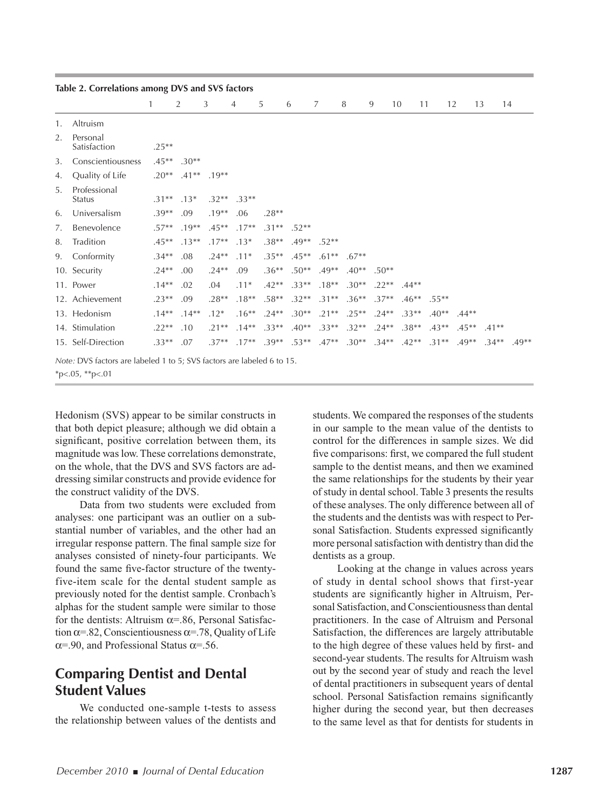|    |                                                                                                                                                                                                                                                                                                                                    | 1              | 2        | 3              | $\overline{4}$  | 5                               | 6              | 7             | 8       | 9        | 10      | 11       | 12       | 13       | 14      |
|----|------------------------------------------------------------------------------------------------------------------------------------------------------------------------------------------------------------------------------------------------------------------------------------------------------------------------------------|----------------|----------|----------------|-----------------|---------------------------------|----------------|---------------|---------|----------|---------|----------|----------|----------|---------|
| 1. | Altruism                                                                                                                                                                                                                                                                                                                           |                |          |                |                 |                                 |                |               |         |          |         |          |          |          |         |
| 2. | Personal<br>Satisfaction                                                                                                                                                                                                                                                                                                           | $.25***$       |          |                |                 |                                 |                |               |         |          |         |          |          |          |         |
| 3. | Conscientiousness                                                                                                                                                                                                                                                                                                                  | $.45***$       | $.30**$  |                |                 |                                 |                |               |         |          |         |          |          |          |         |
| 4. | Quality of Life                                                                                                                                                                                                                                                                                                                    | $.20**$        |          | $.41***$ .19** |                 |                                 |                |               |         |          |         |          |          |          |         |
| 5. | Professional<br>Status                                                                                                                                                                                                                                                                                                             | $.31***$       | $.13*$   |                | $.32**$ $.33**$ |                                 |                |               |         |          |         |          |          |          |         |
| 6. | Universalism                                                                                                                                                                                                                                                                                                                       | $.39**$        | .09      | $.19**$        | .06             | $.28**$                         |                |               |         |          |         |          |          |          |         |
| 7. | Benevolence                                                                                                                                                                                                                                                                                                                        | $.57**$        | $.19**$  | $.45**$        | $.17***$        |                                 | $.31***$ .52** |               |         |          |         |          |          |          |         |
| 8. | Tradition                                                                                                                                                                                                                                                                                                                          | $.45**$        | $.13**$  | $.17***$       | $.13*$          | $.38**$                         |                | $.49**$ .52** |         |          |         |          |          |          |         |
| 9. | Conformity                                                                                                                                                                                                                                                                                                                         | $.34**$        | .08      | $.24***$       | $.11*$          | $.35***$                        | $.45***$       | $.61***$      | $.67**$ |          |         |          |          |          |         |
|    | 10. Security                                                                                                                                                                                                                                                                                                                       | $.24**$        | .00      | $.24**$        | .09             | $.36**$                         | $.50**$        | $.49**$       | $.40**$ | $.50**$  |         |          |          |          |         |
|    | 11. Power                                                                                                                                                                                                                                                                                                                          | $.14**$        | .02      | .04            | $.11*$          | $.42**$                         | $.33**$        | $.18**$       | $.30**$ | $.22**$  | $.44**$ |          |          |          |         |
|    | 12. Achievement                                                                                                                                                                                                                                                                                                                    | $.23**$        | .09      | $.28**$        | $.18**$         | $.58**$                         | $.32**$        | $.31***$      | $.36**$ | $.37**$  | $.46**$ | $.55***$ |          |          |         |
|    | 13. Hedonism                                                                                                                                                                                                                                                                                                                       | $.14***$       | $.14***$ | $.12*$         | $.16***$        | $.24**$                         | $.30**$        | $.21**$       | $.25**$ | $.24**$  | $.33**$ | $.40**$  | $.44***$ |          |         |
|    | 14. Stimulation                                                                                                                                                                                                                                                                                                                    | $.22**$        | .10      | $.21**$        | $.14***$        | $.33**$                         | $.40**$        | $.33**$       | $.32**$ | $.24**$  | $.38**$ | $.43**$  | $.45***$ | $.41**$  |         |
|    | 15. Self-Direction                                                                                                                                                                                                                                                                                                                 | $.33**$        | .07      | $.37**$        | $.17***$        | $.39**$                         | $.53**$        | $.47**$       | $.30**$ | $.34***$ | $.42**$ | $.31***$ | $.49**$  | $.34***$ | $.49**$ |
|    | $\mathbf{1}$ $\mathbf{1}$ $\mathbf{1}$ $\mathbf{1}$ $\mathbf{1}$ $\mathbf{1}$ $\mathbf{1}$ $\mathbf{1}$ $\mathbf{1}$ $\mathbf{1}$ $\mathbf{1}$ $\mathbf{1}$ $\mathbf{1}$ $\mathbf{1}$ $\mathbf{1}$ $\mathbf{1}$ $\mathbf{1}$ $\mathbf{1}$ $\mathbf{1}$ $\mathbf{1}$ $\mathbf{1}$ $\mathbf{1}$ $\mathbf{1}$ $\mathbf{1}$ $\mathbf{$ | $\blacksquare$ |          |                |                 | $1$ $1$ $1$ $1$ $2$ $3$ $3$ $3$ |                |               |         |          |         |          |          |          |         |

**Table 2. Correlations among DVS and SVS factors** 

*Note:* DVS factors are labeled 1 to 5; SVS factors are labeled 6 to 15.

\*p<.05, \*\*p<.01

Hedonism (SVS) appear to be similar constructs in that both depict pleasure; although we did obtain a significant, positive correlation between them, its magnitude was low. These correlations demonstrate, on the whole, that the DVS and SVS factors are addressing similar constructs and provide evidence for the construct validity of the DVS.

Data from two students were excluded from analyses: one participant was an outlier on a substantial number of variables, and the other had an irregular response pattern. The final sample size for analyses consisted of ninety-four participants. We found the same five-factor structure of the twentyfive-item scale for the dental student sample as previously noted for the dentist sample. Cronbach's alphas for the student sample were similar to those for the dentists: Altruism  $\alpha$ =.86, Personal Satisfaction  $\alpha$ =.82, Conscientiousness  $\alpha$ =.78, Quality of Life  $\alpha$ =.90, and Professional Status  $\alpha$ =.56.

## **Comparing Dentist and Dental Student Values**

We conducted one-sample t-tests to assess the relationship between values of the dentists and

students. We compared the responses of the students in our sample to the mean value of the dentists to control for the differences in sample sizes. We did five comparisons: first, we compared the full student sample to the dentist means, and then we examined the same relationships for the students by their year of study in dental school. Table 3 presents the results of these analyses. The only difference between all of the students and the dentists was with respect to Personal Satisfaction. Students expressed significantly more personal satisfaction with dentistry than did the dentists as a group.

Looking at the change in values across years of study in dental school shows that first-year students are significantly higher in Altruism, Personal Satisfaction, and Conscientiousness than dental practitioners. In the case of Altruism and Personal Satisfaction, the differences are largely attributable to the high degree of these values held by first- and second-year students. The results for Altruism wash out by the second year of study and reach the level of dental practitioners in subsequent years of dental school. Personal Satisfaction remains significantly higher during the second year, but then decreases to the same level as that for dentists for students in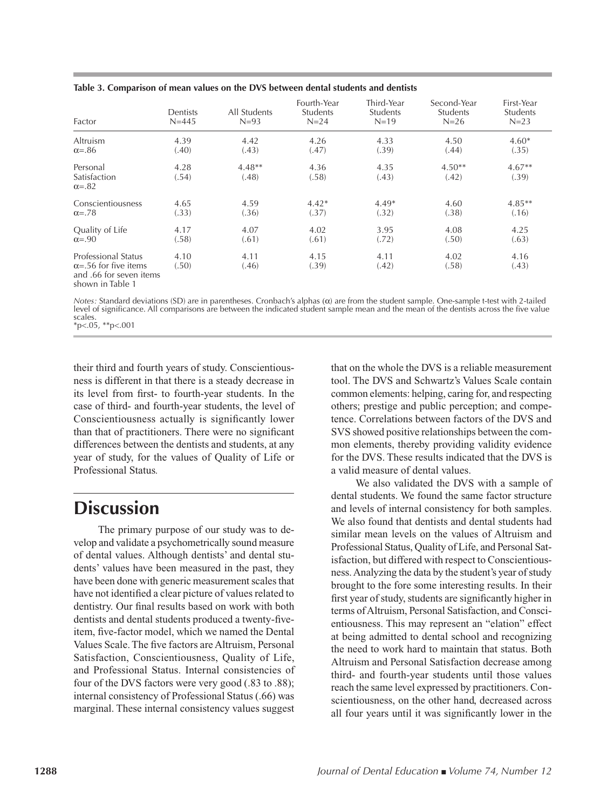| Factor                                                                                                    | Dentists<br>$N = 445$ | All Students<br>$N = 93$ | Fourth-Year<br><b>Students</b><br>$N = 24$ | Third-Year<br><b>Students</b><br>$N = 19$ | Second-Year<br>Students<br>$N = 26$ | First-Year<br><b>Students</b><br>$N=23$ |
|-----------------------------------------------------------------------------------------------------------|-----------------------|--------------------------|--------------------------------------------|-------------------------------------------|-------------------------------------|-----------------------------------------|
| Altruism                                                                                                  | 4.39                  | 4.42                     | 4.26                                       | 4.33                                      | 4.50                                | $4.60*$                                 |
| $\alpha = .86$                                                                                            | (.40)                 | (.43)                    | (.47)                                      | (.39)                                     | (.44)                               | (.35)                                   |
| Personal<br>Satisfaction<br>$\alpha = .82$                                                                | 4.28<br>(.54)         | $4.48**$<br>(.48)        | 4.36<br>(.58)                              | 4.35<br>(.43)                             | $4.50**$<br>(.42)                   | $4.67**$<br>(.39)                       |
| Conscientiousness                                                                                         | 4.65                  | 4.59                     | $4.42*$                                    | $4.49*$                                   | 4.60                                | $4.85**$                                |
| $\alpha = .78$                                                                                            | (.33)                 | (.36)                    | (.37)                                      | (.32)                                     | (.38)                               | (.16)                                   |
| Quality of Life                                                                                           | 4.17                  | 4.07                     | 4.02                                       | 3.95                                      | 4.08                                | 4.25                                    |
| $\alpha = .90$                                                                                            | (.58)                 | (.61)                    | (.61)                                      | (.72)                                     | (.50)                               | (.63)                                   |
| <b>Professional Status</b><br>$\alpha$ =.56 for five items<br>and .66 for seven items<br>shown in Table 1 | 4.10<br>(.50)         | 4.11<br>(.46)            | 4.15<br>(.39)                              | 4.11<br>(.42)                             | 4.02<br>(.58)                       | 4.16<br>(.43)                           |

**Table 3. Comparison of mean values on the DVS between dental students and dentists** 

*Notes:* Standard deviations (SD) are in parentheses. Cronbach's alphas (α) are from the student sample. One-sample t-test with 2-tailed level of significance. All comparisons are between the indicated student sample mean and the mean of the dentists across the five value scales.

 $*p<0.05$ ,  $*p<0.001$ 

their third and fourth years of study. Conscientiousness is different in that there is a steady decrease in its level from first- to fourth-year students. In the case of third- and fourth-year students, the level of Conscientiousness actually is significantly lower than that of practitioners. There were no significant differences between the dentists and students, at any year of study, for the values of Quality of Life or Professional Status*.* 

# **Discussion**

The primary purpose of our study was to develop and validate a psychometrically sound measure of dental values. Although dentists' and dental students' values have been measured in the past, they have been done with generic measurement scales that have not identified a clear picture of values related to dentistry. Our final results based on work with both dentists and dental students produced a twenty-fiveitem, five-factor model, which we named the Dental Values Scale. The five factors are Altruism, Personal Satisfaction, Conscientiousness, Quality of Life, and Professional Status. Internal consistencies of four of the DVS factors were very good (.83 to .88); internal consistency of Professional Status (.66) was marginal. These internal consistency values suggest

that on the whole the DVS is a reliable measurement tool. The DVS and Schwartz's Values Scale contain common elements: helping, caring for, and respecting others; prestige and public perception; and competence. Correlations between factors of the DVS and SVS showed positive relationships between the common elements, thereby providing validity evidence for the DVS. These results indicated that the DVS is a valid measure of dental values.

We also validated the DVS with a sample of dental students. We found the same factor structure and levels of internal consistency for both samples. We also found that dentists and dental students had similar mean levels on the values of Altruism and Professional Status, Quality of Life, and Personal Satisfaction, but differed with respect to Conscientiousness. Analyzing the data by the student's year of study brought to the fore some interesting results. In their first year of study, students are significantly higher in terms of Altruism, Personal Satisfaction, and Conscientiousness. This may represent an "elation" effect at being admitted to dental school and recognizing the need to work hard to maintain that status. Both Altruism and Personal Satisfaction decrease among third- and fourth-year students until those values reach the same level expressed by practitioners. Conscientiousness, on the other hand, decreased across all four years until it was significantly lower in the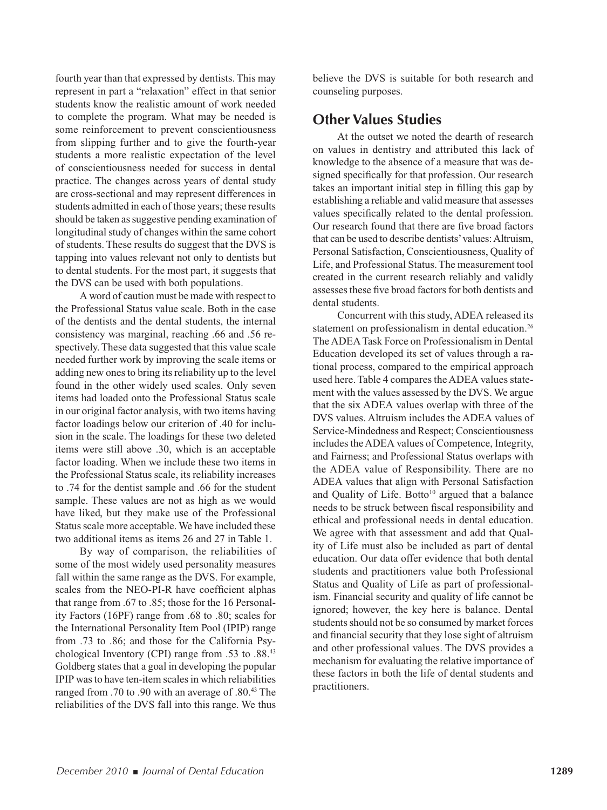fourth year than that expressed by dentists. This may represent in part a "relaxation" effect in that senior students know the realistic amount of work needed to complete the program. What may be needed is some reinforcement to prevent conscientiousness from slipping further and to give the fourth-year students a more realistic expectation of the level of conscientiousness needed for success in dental practice. The changes across years of dental study are cross-sectional and may represent differences in students admitted in each of those years; these results should be taken as suggestive pending examination of longitudinal study of changes within the same cohort of students. These results do suggest that the DVS is tapping into values relevant not only to dentists but to dental students. For the most part, it suggests that the DVS can be used with both populations.

A word of caution must be made with respect to the Professional Status value scale. Both in the case of the dentists and the dental students, the internal consistency was marginal, reaching .66 and .56 respectively. These data suggested that this value scale needed further work by improving the scale items or adding new ones to bring its reliability up to the level found in the other widely used scales. Only seven items had loaded onto the Professional Status scale in our original factor analysis, with two items having factor loadings below our criterion of .40 for inclusion in the scale. The loadings for these two deleted items were still above .30, which is an acceptable factor loading. When we include these two items in the Professional Status scale, its reliability increases to .74 for the dentist sample and .66 for the student sample. These values are not as high as we would have liked, but they make use of the Professional Status scale more acceptable. We have included these two additional items as items 26 and 27 in Table 1.

By way of comparison, the reliabilities of some of the most widely used personality measures fall within the same range as the DVS. For example, scales from the NEO-PI-R have coefficient alphas that range from .67 to .85; those for the 16 Personality Factors (16PF) range from .68 to .80; scales for the International Personality Item Pool (IPIP) range from .73 to .86; and those for the California Psychological Inventory (CPI) range from .53 to .88.43 Goldberg states that a goal in developing the popular IPIP was to have ten-item scales in which reliabilities ranged from .70 to .90 with an average of .80.43 The reliabilities of the DVS fall into this range. We thus

believe the DVS is suitable for both research and counseling purposes.

### **Other Values Studies**

At the outset we noted the dearth of research on values in dentistry and attributed this lack of knowledge to the absence of a measure that was designed specifically for that profession. Our research takes an important initial step in filling this gap by establishing a reliable and valid measure that assesses values specifically related to the dental profession. Our research found that there are five broad factors that can be used to describe dentists' values: Altruism, Personal Satisfaction, Conscientiousness, Quality of Life, and Professional Status. The measurement tool created in the current research reliably and validly assesses these five broad factors for both dentists and dental students.

Concurrent with this study, ADEA released its statement on professionalism in dental education.<sup>26</sup> The ADEA Task Force on Professionalism in Dental Education developed its set of values through a rational process, compared to the empirical approach used here. Table 4 compares the ADEA values statement with the values assessed by the DVS. We argue that the six ADEA values overlap with three of the DVS values. Altruism includes the ADEA values of Service-Mindedness and Respect; Conscientiousness includes the ADEA values of Competence, Integrity, and Fairness; and Professional Status overlaps with the ADEA value of Responsibility. There are no ADEA values that align with Personal Satisfaction and Quality of Life. Botto<sup>10</sup> argued that a balance needs to be struck between fiscal responsibility and ethical and professional needs in dental education. We agree with that assessment and add that Quality of Life must also be included as part of dental education. Our data offer evidence that both dental students and practitioners value both Professional Status and Quality of Life as part of professionalism. Financial security and quality of life cannot be ignored; however, the key here is balance. Dental students should not be so consumed by market forces and financial security that they lose sight of altruism and other professional values. The DVS provides a mechanism for evaluating the relative importance of these factors in both the life of dental students and practitioners.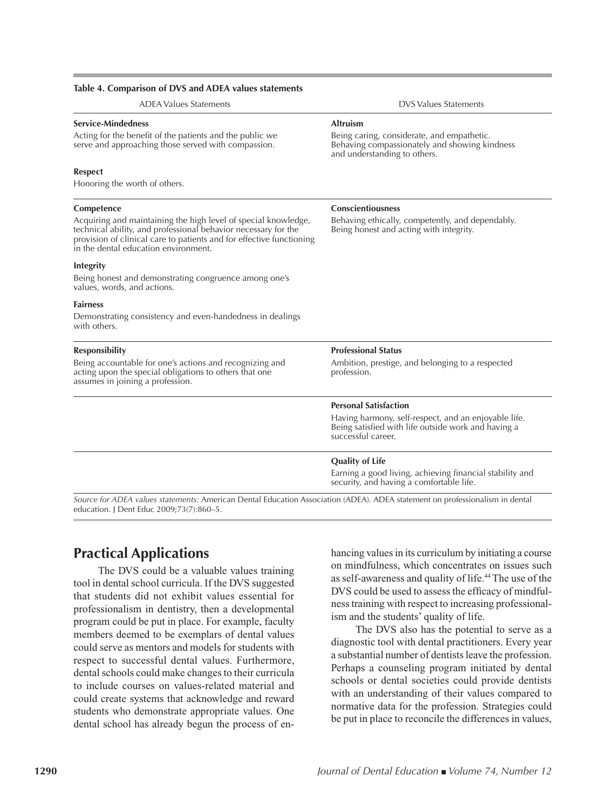#### **Table 4. Comparison of DVS and ADEA values statements**

ADEA Values Statements **DVS** Values Statements

### **Service-Mindedness Altruism**

Acting for the benefit of the patients and the public we Being caring, considerate, and empathetic.<br>Serve and approaching those served with compassion. Behaving compassionately and showing kindness serve and approaching those served with compassion.

#### **Respect**

Honoring the worth of others.

Acquiring and maintaining the high level of special knowledge, Behaving ethically, competently, and dependably.<br>
Intertional ability, and professional behavior necessary for the Being honest and acting with integrity. technical ability, and professional behavior necessary for the provision of clinical care to patients and for effective functioning in the dental education environment.

#### **Integrity**

Being honest and demonstrating congruence among one's values, words, and actions.

#### **Fairness**

Demonstrating consistency and even-handedness in dealings with others.

Being accountable for one's actions and recognizing and **Ambition**, prestige, and belonging to a respected acting upon the special obligations to others that one profession. assumes in joining a profession.

and understanding to others.

#### **Competence Conscientiousness**

#### **Responsibility Professional Status**

#### **Personal Satisfaction**

Having harmony, self-respect, and an enjoyable life. Being satisfied with life outside work and having a successful career.

#### **Quality of Life**

Earning a good living, achieving financial stability and security, and having a comfortable life.

*Source for ADEA values statements:* American Dental Education Association (ADEA). ADEA statement on professionalism in dental education. J Dent Educ 2009;73(7):860–5.

### **Practical Applications**

The DVS could be a valuable values training tool in dental school curricula. If the DVS suggested that students did not exhibit values essential for professionalism in dentistry, then a developmental program could be put in place. For example, faculty members deemed to be exemplars of dental values could serve as mentors and models for students with respect to successful dental values. Furthermore, dental schools could make changes to their curricula to include courses on values-related material and could create systems that acknowledge and reward students who demonstrate appropriate values. One dental school has already begun the process of en-

hancing values in its curriculum by initiating a course on mindfulness, which concentrates on issues such as self-awareness and quality of life.44 The use of the DVS could be used to assess the efficacy of mindfulness training with respect to increasing professionalism and the students' quality of life.

The DVS also has the potential to serve as a diagnostic tool with dental practitioners. Every year a substantial number of dentists leave the profession. Perhaps a counseling program initiated by dental schools or dental societies could provide dentists with an understanding of their values compared to normative data for the profession. Strategies could be put in place to reconcile the differences in values,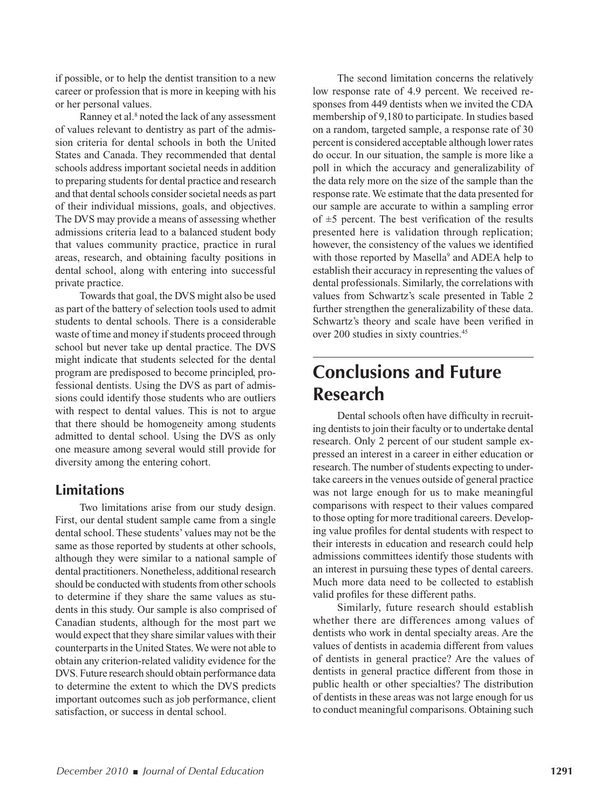if possible, or to help the dentist transition to a new career or profession that is more in keeping with his or her personal values.

Ranney et al.<sup>8</sup> noted the lack of any assessment of values relevant to dentistry as part of the admission criteria for dental schools in both the United States and Canada. They recommended that dental schools address important societal needs in addition to preparing students for dental practice and research and that dental schools consider societal needs as part of their individual missions, goals, and objectives. The DVS may provide a means of assessing whether admissions criteria lead to a balanced student body that values community practice, practice in rural areas, research, and obtaining faculty positions in dental school, along with entering into successful private practice.

Towards that goal, the DVS might also be used as part of the battery of selection tools used to admit students to dental schools. There is a considerable waste of time and money if students proceed through school but never take up dental practice. The DVS might indicate that students selected for the dental program are predisposed to become principled, professional dentists. Using the DVS as part of admissions could identify those students who are outliers with respect to dental values. This is not to argue that there should be homogeneity among students admitted to dental school. Using the DVS as only one measure among several would still provide for diversity among the entering cohort.

## **Limitations**

Two limitations arise from our study design. First, our dental student sample came from a single dental school. These students' values may not be the same as those reported by students at other schools, although they were similar to a national sample of dental practitioners. Nonetheless, additional research should be conducted with students from other schools to determine if they share the same values as students in this study. Our sample is also comprised of Canadian students, although for the most part we would expect that they share similar values with their counterparts in the United States. We were not able to obtain any criterion-related validity evidence for the DVS. Future research should obtain performance data to determine the extent to which the DVS predicts important outcomes such as job performance, client satisfaction, or success in dental school.

The second limitation concerns the relatively low response rate of 4.9 percent. We received responses from 449 dentists when we invited the CDA membership of 9,180 to participate. In studies based on a random, targeted sample, a response rate of 30 percent is considered acceptable although lower rates do occur. In our situation, the sample is more like a poll in which the accuracy and generalizability of the data rely more on the size of the sample than the response rate. We estimate that the data presented for our sample are accurate to within a sampling error of  $\pm$ 5 percent. The best verification of the results presented here is validation through replication; however, the consistency of the values we identified with those reported by Masella $9$  and ADEA help to establish their accuracy in representing the values of dental professionals. Similarly, the correlations with values from Schwartz's scale presented in Table 2 further strengthen the generalizability of these data. Schwartz's theory and scale have been verified in over 200 studies in sixty countries.45

# **Conclusions and Future Research**

Dental schools often have difficulty in recruiting dentists to join their faculty or to undertake dental research. Only 2 percent of our student sample expressed an interest in a career in either education or research. The number of students expecting to undertake careers in the venues outside of general practice was not large enough for us to make meaningful comparisons with respect to their values compared to those opting for more traditional careers. Developing value profiles for dental students with respect to their interests in education and research could help admissions committees identify those students with an interest in pursuing these types of dental careers. Much more data need to be collected to establish valid profiles for these different paths.

Similarly, future research should establish whether there are differences among values of dentists who work in dental specialty areas. Are the values of dentists in academia different from values of dentists in general practice? Are the values of dentists in general practice different from those in public health or other specialties? The distribution of dentists in these areas was not large enough for us to conduct meaningful comparisons. Obtaining such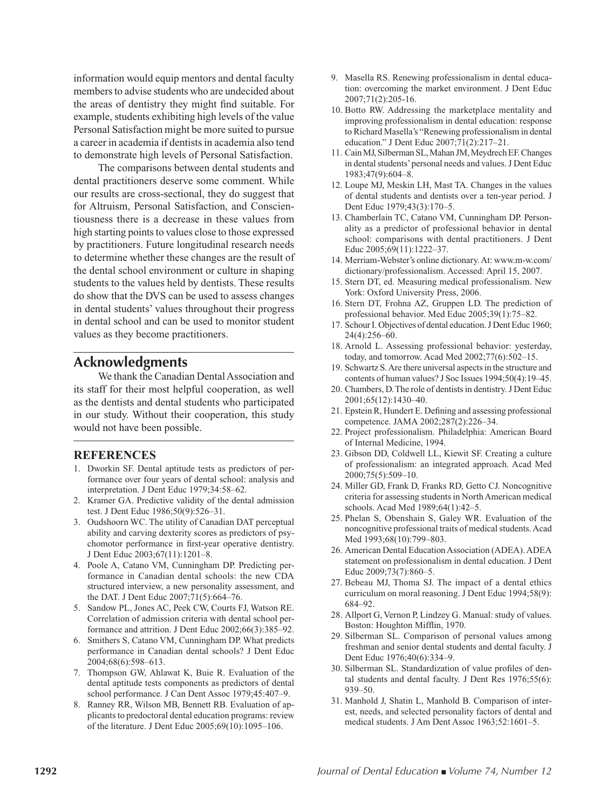information would equip mentors and dental faculty members to advise students who are undecided about the areas of dentistry they might find suitable. For example, students exhibiting high levels of the value Personal Satisfaction might be more suited to pursue a career in academia if dentists in academia also tend to demonstrate high levels of Personal Satisfaction.

The comparisons between dental students and dental practitioners deserve some comment. While our results are cross-sectional, they do suggest that for Altruism, Personal Satisfaction, and Conscientiousness there is a decrease in these values from high starting points to values close to those expressed by practitioners. Future longitudinal research needs to determine whether these changes are the result of the dental school environment or culture in shaping students to the values held by dentists. These results do show that the DVS can be used to assess changes in dental students' values throughout their progress in dental school and can be used to monitor student values as they become practitioners.

## **Acknowledgments**

We thank the Canadian Dental Association and its staff for their most helpful cooperation, as well as the dentists and dental students who participated in our study. Without their cooperation, this study would not have been possible.

### **REFERENCES**

- 1. Dworkin SF. Dental aptitude tests as predictors of performance over four years of dental school: analysis and interpretation. J Dent Educ 1979;34:58–62.
- 2. Kramer GA. Predictive validity of the dental admission test. J Dent Educ 1986;50(9):526–31.
- 3. Oudshoorn WC. The utility of Canadian DAT perceptual ability and carving dexterity scores as predictors of psychomotor performance in first-year operative dentistry. J Dent Educ 2003;67(11):1201–8.
- 4. Poole A, Catano VM, Cunningham DP. Predicting performance in Canadian dental schools: the new CDA structured interview, a new personality assessment, and the DAT. J Dent Educ 2007;71(5):664–76.
- 5. Sandow PL, Jones AC, Peek CW, Courts FJ, Watson RE. Correlation of admission criteria with dental school performance and attrition. J Dent Educ 2002;66(3):385–92.
- 6. Smithers S, Catano VM, Cunningham DP. What predicts performance in Canadian dental schools? J Dent Educ 2004;68(6):598–613.
- 7. Thompson GW, Ahlawat K, Buie R. Evaluation of the dental aptitude tests components as predictors of dental school performance. J Can Dent Assoc 1979;45:407–9.
- 8. Ranney RR, Wilson MB, Bennett RB. Evaluation of applicants to predoctoral dental education programs: review of the literature. J Dent Educ 2005;69(10):1095–106.
- 9. Masella RS. Renewing professionalism in dental education: overcoming the market environment. J Dent Educ 2007;71(2):205-16.
- 10. Botto RW. Addressing the marketplace mentality and improving professionalism in dental education: response to Richard Masella's "Renewing professionalism in dental education." J Dent Educ 2007;71(2):217–21.
- 11. Cain MJ, Silberman SL, Mahan JM, Meydrech EF. Changes in dental students' personal needs and values. J Dent Educ 1983;47(9):604–8.
- 12. Loupe MJ, Meskin LH, Mast TA. Changes in the values of dental students and dentists over a ten-year period. J Dent Educ 1979;43(3):170–5.
- 13. Chamberlain TC, Catano VM, Cunningham DP. Personality as a predictor of professional behavior in dental school: comparisons with dental practitioners. J Dent Educ 2005;69(11):1222–37.
- 14. Merriam-Webster's online dictionary. At: www.m-w.com/ dictionary/professionalism. Accessed: April 15, 2007.
- 15. Stern DT, ed. Measuring medical professionalism. New York: Oxford University Press, 2006.
- 16. Stern DT, Frohna AZ, Gruppen LD. The prediction of professional behavior. Med Educ 2005;39(1):75–82.
- 17. Schour I. Objectives of dental education. J Dent Educ 1960; 24(4):256–60.
- 18. Arnold L. Assessing professional behavior: yesterday, today, and tomorrow. Acad Med 2002;77(6):502–15.
- 19. Schwartz S. Are there universal aspects in the structure and contents of human values? J Soc Issues 1994;50(4):19–45.
- 20. Chambers, D. The role of dentists in dentistry. J Dent Educ 2001;65(12):1430–40.
- 21. Epstein R, Hundert E. Defining and assessing professional competence. JAMA 2002;287(2):226–34.
- 22. Project professionalism. Philadelphia: American Board of Internal Medicine, 1994.
- 23. Gibson DD, Coldwell LL, Kiewit SF. Creating a culture of professionalism: an integrated approach. Acad Med 2000;75(5):509–10.
- 24. Miller GD, Frank D, Franks RD, Getto CJ. Noncognitive criteria for assessing students in North American medical schools. Acad Med 1989;64(1):42–5.
- 25. Phelan S, Obenshain S, Galey WR. Evaluation of the noncognitive professional traits of medical students. Acad Med 1993;68(10):799-803.
- 26. American Dental Education Association (ADEA). ADEA statement on professionalism in dental education. J Dent Educ 2009;73(7):860–5.
- 27. Bebeau MJ, Thoma SJ. The impact of a dental ethics curriculum on moral reasoning. J Dent Educ 1994;58(9): 684–92.
- 28. Allport G, Vernon P, Lindzey G. Manual: study of values. Boston: Houghton Mifflin, 1970.
- 29. Silberman SL. Comparison of personal values among freshman and senior dental students and dental faculty. J Dent Educ 1976;40(6):334–9.
- 30. Silberman SL. Standardization of value profiles of dental students and dental faculty. J Dent Res 1976;55(6): 939–50.
- 31. Manhold J, Shatin L, Manhold B. Comparison of interest, needs, and selected personality factors of dental and medical students. J Am Dent Assoc 1963;52:1601–5.